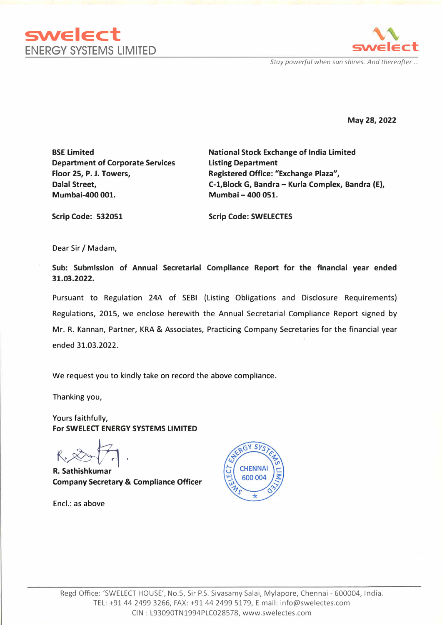



*Stay powerful when sun shines. And thereafter ...* 

**May 28, 2022** 

**BSE Limited Department of Corporate Services Floor 25, P. J. Towers, Dalal Street, Mumbai-400 001.** 

**National Stock Exchange of India Limited Listing Department Registered Office: "Exchange Plaza", C-1,Block G, Bandra - Kurla Complex, Bandra (E), Mumbai - 400 051.**

**Scrip Code: 532051** 

**Scrip Code: SWELECTES** 

Dear Sir/ Madam,

**Sub: Submission of Annual Secretarlal Compllance Report for the flnanclal year ended 31.03.2022.** 

Pursuant to Regulation 24A of SEBI (Listing Obligations and Disclosure Requirements) Regulations, 2015, we enclose herewith the Annual Secretarial Compliance Report signed by Mr. R. Kannan, Partner, KRA & Associates, Practicing Company Secretaries for the financial year ended 31.03.2022.

We request you to kindly take on record the above compllance.

Thanking you,

Yours faithfully, **For SWELECT ENERGY SYSTEMS LIMITED** 

K,�. **R. Sathishkumar**

**Company Secretary & Compliance Officer**

Encl.: as above

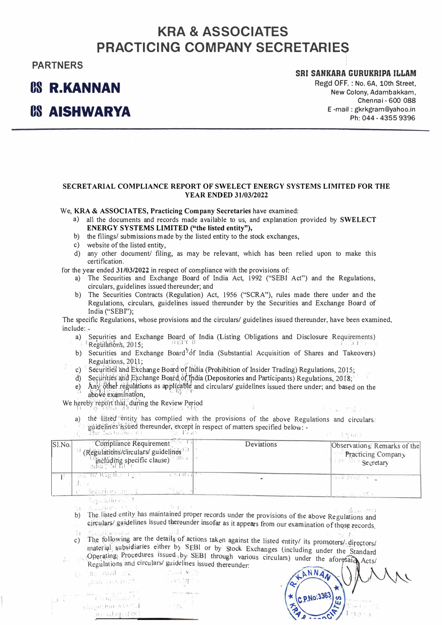# **KRA & ASSOCIATES PRACTICING COMPANY SECRETARIES**

### **PARTNERS**

## **OS R.KANNAN**

**OS AISHWARYA** 

### **SRI SANKARA GURUKRIPA ILLAM**

Regd OFF. : No. 6A, 10th Street, New Colony, Adambakkam, Chennai - 600 088 E-mail : gkrkgram@yahoo.in Ph: 044 - 4355 9396

#### **SECRET ARIAL COMPLIANCE REPORT OF SWELECT ENERGY SYSTEMS LIMITED FOR THE YEAR ENDED 31/03/2022**

We, **KRA** & **ASSOCIATES, Practicing Company Secretaries** h<sup>a</sup>ve examined:

- <sup>a</sup>) <sup>a</sup>ll the documents and records made <sup>a</sup>vail<sup>a</sup>ble to us, and expl<sup>a</sup>n<sup>a</sup>tion provided by **SWELECT ENERGY SYSTEMS LIMITED ("the listed entity"),**
- b) the filings/ submissions m<sup>a</sup>de by the listed entity to the stock exch<sup>a</sup>nges,
- c) website of the listed entity,
- d) any other document/ filing, <sup>a</sup>s m<sup>a</sup>y be relevant, which h<sup>a</sup>s been relied upon to m<sup>a</sup>ke this certification.

for the year ended **31/03/2022** in respect of compliance with the provisions of:

- <sup>a</sup>) The Securities and Exchange Bo<sup>a</sup>rd of India Act, 1992 ("SEBI Act") <sup>a</sup>nd the Regul<sup>a</sup>tions, circul<sup>a</sup>rs, guidelines issued thereunder; a<sup>n</sup>d
- b) The Securities Contracts (Regulation) Act, 1956 ("SCRA"), rules m<sup>a</sup>de there under <sup>a</sup>nd the Regulations, circulars, guidelines issued thereunder by the Securities and Exchange Bo<sup>a</sup>rd of Indi<sup>a</sup>("SEBT");

The specific Regulations, whose provisions and the circul<sup>a</sup>rs/ guidelines issued thereunder, h<sup>a</sup>ve been examined, include:

- a) Securities and Exchange Board of India (Listing Obligations and Disclosure Requirements) Regulations, 2015;
- b) Securities and Exchange Board <sup>†</sup> of India (Substantial Acquisition of Shares and Takeovers) Regulations, 2011;<br>c) Securities and Exchange Board of India (Prohibition of Insider Trading) Regulations, 2015;
- 1
- d) Securities and Exchange Board of India (Depositories and Participants) Regulations, 2018;<br>1) Regulations, 20 f 8; the property of the property of the property of the property of the property of the pr
- e) Any other regulations as applicable and circulars/ guidelines issued there under; and based on the above examination,  $\lim_{n \to \infty}$

We hereby report that, during the Review Period  $\frac{1}{2}$  **I**  $\frac{1}{2}$ 

- a) the listed entity has complied with the provisions of the above Regulations and circulars
- 
- be uidelines' issued thereunder, except in respect of matters specified below: -<br>in the Securities specified below: 1 **I** J **[I<: . �!...'., I !** I I' **11,, '** 1 I ' •' **l I. �l '**

| Sl.No. | Compliance Requirement<br>(Regulations/circulars/ guidelines <sup>113</sup> )<br>$\frac{2.5}{100}$ including specific clause) | Deviations | Observations' Remarks of the<br><b>Practicing Company</b><br>Secretary |
|--------|-------------------------------------------------------------------------------------------------------------------------------|------------|------------------------------------------------------------------------|
|        | $\mathbf{v}$ = $\mathbf{c}$ $\mathbf{u}$ .<br>we he Regulated as<br>Secondles up J-                                           |            | An an Alant College                                                    |

San allafier produ

 $\zeta_{\rm eff}$  is a  $\zeta_{\rm eff}$  . .

- the ligted entity has maintained proper records under the provisions of the above Regulations and<br>eigenlared unidelines issued thereunder insofer as it enneared for above Regulations and  $\vdots$
- circulars/guidelines issued thereunder insofar as it appears from our examination of those records.

l 1. Exercities and the details of actions taken against the listed entity/ its promoters/, directors/<br>material, subsidiaries either by SEBI or by Stock Exchanges (including promoters/, directors/ material, subsidiaries either by SEBI or by Stock Exchanges (including under the Standard<br>Operating Procedures issued by SEBI through various circulars) under the Standard ,

Regulations and circulars/ guidelines issued thereunder:

nind with<br>Turkiya

لانا الله عليه الثانية الثانية .<br>• السياس الثانية الثانية الثانية .

<.-�'I!' P1t) -; (.'I,, -,.. *lt!* • <sup>1</sup> **ii, ...** I,! :·•:( 1)-1

 $\mathbf{I}$ 

.. : ,.1.0P.���,qljlgl P:1 oc\;'d ures issue�,, P . S\_EBl through various circulars) under the <sup>a</sup>forG i A · Regulations and circulars/ guidelines issued thereunder: -----�...... , cts/  $\sqrt{2}$  $\sim$  $ANDA$ **, . ,., '• ·· · -1< c�.110·.��•>.: : :**  .. i ,e ·--r..t� I ·1 ·1 **' , <sup>I</sup>**